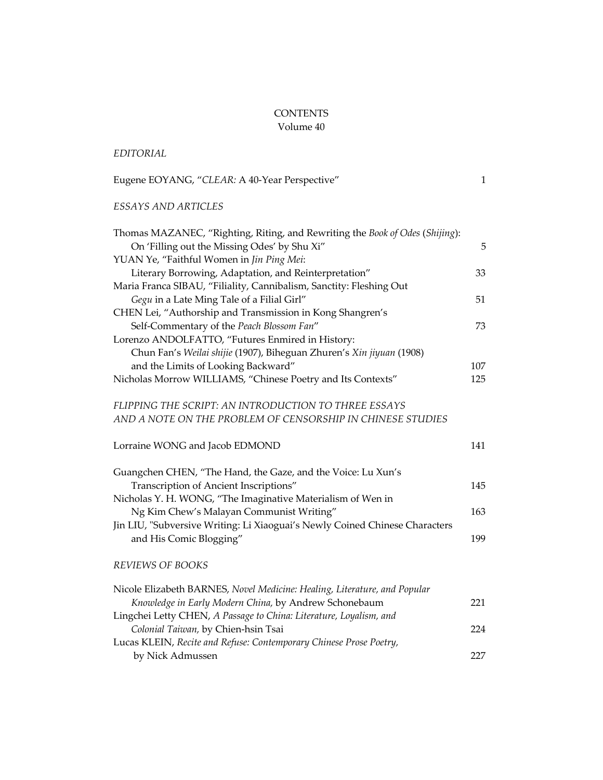## **CONTENTS**

## Volume 40

## Eugene EOYANG, "CLEAR: A 40-Year Perspective" 1 *ESSAYS AND ARTICLES*

*EDITORIAL*

| Thomas MAZANEC, "Righting, Riting, and Rewriting the Book of Odes (Shijing): |     |
|------------------------------------------------------------------------------|-----|
| On 'Filling out the Missing Odes' by Shu Xi"                                 | 5   |
| YUAN Ye, "Faithful Women in Jin Ping Mei:                                    |     |
| Literary Borrowing, Adaptation, and Reinterpretation"                        | 33  |
| Maria Franca SIBAU, "Filiality, Cannibalism, Sanctity: Fleshing Out          |     |
| Gegu in a Late Ming Tale of a Filial Girl"                                   | 51  |
| CHEN Lei, "Authorship and Transmission in Kong Shangren's                    |     |
| Self-Commentary of the Peach Blossom Fan"                                    | 73  |
| Lorenzo ANDOLFATTO, "Futures Enmired in History:                             |     |
| Chun Fan's Weilai shijie (1907), Biheguan Zhuren's Xin jiyuan (1908)         |     |
| and the Limits of Looking Backward"                                          | 107 |
| Nicholas Morrow WILLIAMS, "Chinese Poetry and Its Contexts"                  | 125 |
| FLIPPING THE SCRIPT: AN INTRODUCTION TO THREE ESSAYS                         |     |
| AND A NOTE ON THE PROBLEM OF CENSORSHIP IN CHINESE STUDIES                   |     |
| Lorraine WONG and Jacob EDMOND                                               | 141 |
| Guangchen CHEN, "The Hand, the Gaze, and the Voice: Lu Xun's                 |     |
| Transcription of Ancient Inscriptions"                                       | 145 |
| Nicholas Y. H. WONG, "The Imaginative Materialism of Wen in                  |     |
| Ng Kim Chew's Malayan Communist Writing"                                     | 163 |
| Jin LIU, "Subversive Writing: Li Xiaoguai's Newly Coined Chinese Characters  |     |
| and His Comic Blogging"                                                      | 199 |
| <b>REVIEWS OF BOOKS</b>                                                      |     |
| Nicole Elizabeth BARNES, Novel Medicine: Healing, Literature, and Popular    |     |
| Knowledge in Early Modern China, by Andrew Schonebaum                        | 221 |
| Lingchei Letty CHEN, A Passage to China: Literature, Loyalism, and           |     |
| Colonial Taiwan, by Chien-hsin Tsai                                          | 224 |
| Lucas KLEIN, Recite and Refuse: Contemporary Chinese Prose Poetry,           |     |
| by Nick Admussen                                                             | 227 |
|                                                                              |     |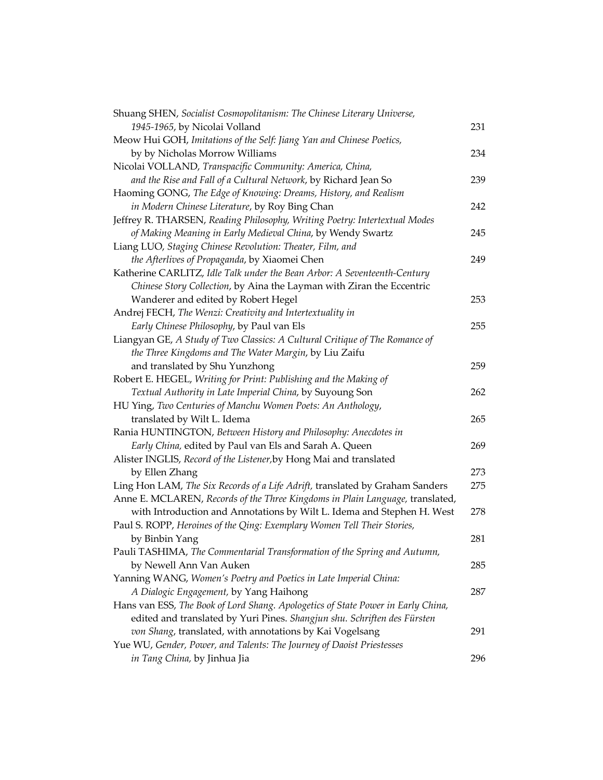| Shuang SHEN, Socialist Cosmopolitanism: The Chinese Literary Universe,           |     |
|----------------------------------------------------------------------------------|-----|
| 1945-1965, by Nicolai Volland                                                    | 231 |
| Meow Hui GOH, Imitations of the Self: Jiang Yan and Chinese Poetics,             |     |
| by by Nicholas Morrow Williams                                                   | 234 |
| Nicolai VOLLAND, Transpacific Community: America, China,                         |     |
| and the Rise and Fall of a Cultural Network, by Richard Jean So                  | 239 |
| Haoming GONG, The Edge of Knowing: Dreams, History, and Realism                  |     |
| in Modern Chinese Literature, by Roy Bing Chan                                   | 242 |
| Jeffrey R. THARSEN, Reading Philosophy, Writing Poetry: Intertextual Modes       |     |
| of Making Meaning in Early Medieval China, by Wendy Swartz                       | 245 |
| Liang LUO, Staging Chinese Revolution: Theater, Film, and                        |     |
| the Afterlives of Propaganda, by Xiaomei Chen                                    | 249 |
| Katherine CARLITZ, Idle Talk under the Bean Arbor: A Seventeenth-Century         |     |
| Chinese Story Collection, by Aina the Layman with Ziran the Eccentric            |     |
| Wanderer and edited by Robert Hegel                                              | 253 |
| Andrej FECH, The Wenzi: Creativity and Intertextuality in                        |     |
| Early Chinese Philosophy, by Paul van Els                                        | 255 |
| Liangyan GE, A Study of Two Classics: A Cultural Critique of The Romance of      |     |
| the Three Kingdoms and The Water Margin, by Liu Zaifu                            |     |
| and translated by Shu Yunzhong                                                   | 259 |
| Robert E. HEGEL, Writing for Print: Publishing and the Making of                 |     |
| Textual Authority in Late Imperial China, by Suyoung Son                         | 262 |
| HU Ying, Two Centuries of Manchu Women Poets: An Anthology,                      |     |
| translated by Wilt L. Idema                                                      | 265 |
| Rania HUNTINGTON, Between History and Philosophy: Anecdotes in                   |     |
| Early China, edited by Paul van Els and Sarah A. Queen                           | 269 |
| Alister INGLIS, Record of the Listener, by Hong Mai and translated               |     |
| by Ellen Zhang                                                                   | 273 |
| Ling Hon LAM, The Six Records of a Life Adrift, translated by Graham Sanders     | 275 |
| Anne E. MCLAREN, Records of the Three Kingdoms in Plain Language, translated,    |     |
| with Introduction and Annotations by Wilt L. Idema and Stephen H. West           | 278 |
| Paul S. ROPP, Heroines of the Qing: Exemplary Women Tell Their Stories,          |     |
| by Binbin Yang                                                                   | 281 |
| Pauli TASHIMA, The Commentarial Transformation of the Spring and Autumn,         |     |
| by Newell Ann Van Auken                                                          | 285 |
| Yanning WANG, Women's Poetry and Poetics in Late Imperial China:                 |     |
| A Dialogic Engagement, by Yang Haihong                                           | 287 |
| Hans van ESS, The Book of Lord Shang. Apologetics of State Power in Early China, |     |
| edited and translated by Yuri Pines. Shangjun shu. Schriften des Fürsten         |     |
| von Shang, translated, with annotations by Kai Vogelsang                         | 291 |
| Yue WU, Gender, Power, and Talents: The Journey of Daoist Priestesses            |     |
| in Tang China, by Jinhua Jia                                                     | 296 |